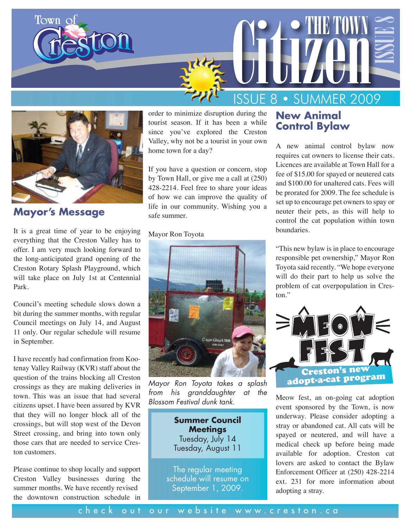



**Mayor's Message** 

It is a great time of year to be enjoying everything that the Creston Valley has to offer. I am very much looking forward to the long-anticipated grand opening of the Creston Rotary Splash Playground, which will take place on July 1st at Centennial Park.

Council's meeting schedule slows down a bit during the summer months, with regular Council meetings on July 14, and August 11 only. Our regular schedule will resume in September.

I have recently had confirmation from Kootenay Valley Railway (KVR) staff about the question of the trains blocking all Creston crossings as they are making deliveries in town. This was an issue that had several citizens upset. I have been assured by KVR that they will no longer block all of the crossings, but will stop west of the Devon Street crossing, and bring into town only those cars that are needed to service Creston customers.

Please continue to shop locally and support Creston Valley businesses during the summer months. We have recently revised the downtown construction schedule in

order to minimize disruption during the tourist season. If it has been a while since you've explored the Creston Valley, why not be a tourist in your own home town for a day?

If you have a question or concern, stop by Town Hall, or give me a call at (250) 428-2214. Feel free to share your ideas of how we can improve the quality of life in our community. Wishing you a safe summer.

#### Mayor Ron Toyota



*Mayor Ron Toyota takes a splash from his granddaughter at the Blossom Festival dunk tank.*

**Summer Council Meetings** Tuesday, July 14 Tuesday, August 11

The regular meeting schedule will resume on September 1, 2009.

#### **New Animal Control Bylaw**

A new animal control bylaw now requires cat owners to license their cats. Licences are available at Town Hall for a fee of \$15.00 for spayed or neutered cats and \$100.00 for unaltered cats. Fees will be prorated for 2009. The fee schedule is set up to encourage pet owners to spay or neuter their pets, as this will help to control the cat population within town boundaries.

"This new bylaw is in place to encourage responsible pet ownership," Mayor Ron Toyota said recently. "We hope everyone will do their part to help us solve the problem of cat overpopulation in Creston."



Meow fest, an on-going cat adoption event sponsored by the Town, is now underway. Please consider adopting a stray or abandoned cat. All cats will be spayed or neutered, and will have a medical check up before being made available for adoption. Creston cat lovers are asked to contact the Bylaw Enforcement Officer at (250) 428-2214 ext. 231 for more information about adopting a stray.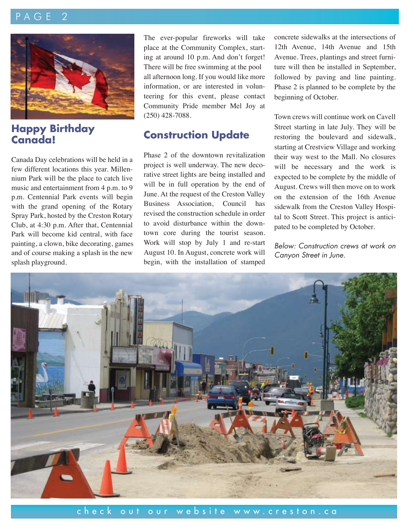## $\overline{P}$   $\overline{A}$   $\overline{G}$   $\overline{E}$



## **Happy Birthday Canada!**

Canada Day celebrations will be held in a few different locations this year. Millennium Park will be the place to catch live music and entertainment from 4 p.m. to 9 p.m. Centennial Park events will begin with the grand opening of the Rotary Spray Park, hosted by the Creston Rotary Club, at 4:30 p.m. After that, Centennial Park will become kid central, with face painting, a clown, bike decorating, games and of course making a splash in the new splash playground.

The ever-popular fireworks will take place at the Community Complex, starting at around 10 p.m. And don't forget! There will be free swimming at the pool all afternoon long. If you would like more information, or are interested in volunteering for this event, please contact Community Pride member Mel Joy at (250) 428-7088.

## **Construction Update**

Phase 2 of the downtown revitalization project is well underway. The new decorative street lights are being installed and will be in full operation by the end of June. At the request of the Creston Valley Business Association, Council has revised the construction schedule in order to avoid disturbance within the downtown core during the tourist season. Work will stop by July 1 and re-start August 10. In August, concrete work will begin, with the installation of stamped concrete sidewalks at the intersections of 12th Avenue, 14th Avenue and 15th Avenue. Trees, plantings and street furniture will then be installed in September, followed by paving and line painting. Phase 2 is planned to be complete by the beginning of October.

Town crews will continue work on Cavell Street starting in late July. They will be restoring the boulevard and sidewalk, starting at Crestview Village and working their way west to the Mall. No closures will be necessary and the work is expected to be complete by the middle of August. Crews will then move on to work on the extension of the 16th Avenue sidewalk from the Creston Valley Hospital to Scott Street. This project is anticipated to be completed by October.

*Below: Construction crews at work on Canyon Street in June.*

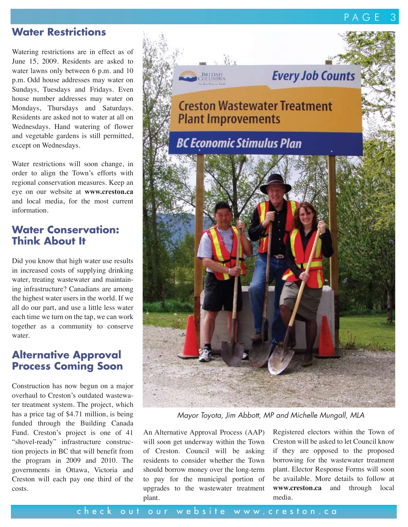## **Water Restrictions**

Watering restrictions are in effect as of June 15, 2009. Residents are asked to water lawns only between 6 p.m. and 10 p.m. Odd house addresses may water on Sundays, Tuesdays and Fridays. Even house number addresses may water on Mondays, Thursdays and Saturdays. Residents are asked not to water at all on Wednesdays. Hand watering of flower and vegetable gardens is still permitted, except on Wednesdays.

Water restrictions will soon change, in order to align the Town's efforts with regional conservation measures. Keep an eye on our website at **www.creston.ca** and local media, for the most current information.

## **Water Conservation: Think About It**

Did you know that high water use results in increased costs of supplying drinking water, treating wastewater and maintaining infrastructure? Canadians are among the highest water users in the world. If we all do our part, and use a little less water each time we turn on the tap, we can work together as a community to conserve water.

### **Alternative Approval Process Coming Soon**

Construction has now begun on a major overhaul to Creston's outdated wastewater treatment system. The project, which has a price tag of \$4.71 million, is being funded through the Building Canada Fund. Creston's project is one of 41 "shovel-ready" infrastructure construction projects in BC that will benefit from the program in 2009 and 2010. The governments in Ottawa, Victoria and Creston will each pay one third of the costs.



*Mayor Toyota, Jim Abbott, MP and Michelle Mungall, MLA*

An Alternative Approval Process (AAP) will soon get underway within the Town of Creston. Council will be asking residents to consider whether the Town should borrow money over the long-term to pay for the municipal portion of upgrades to the wastewater treatment plant.

Registered electors within the Town of Creston will be asked to let Council know if they are opposed to the proposed borrowing for the wastewater treatment plant. Elector Response Forms will soon be available. More details to follow at **www.creston.ca** and through local media.